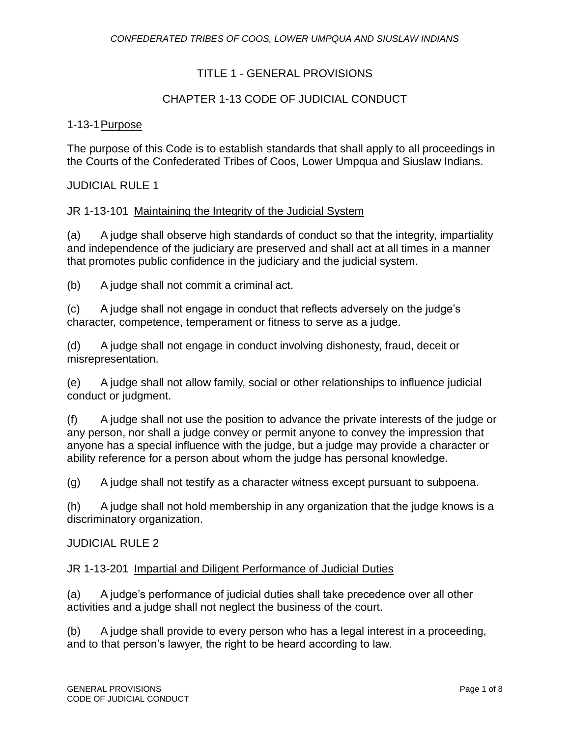## TITLE 1 - GENERAL PROVISIONS

## CHAPTER 1-13 CODE OF JUDICIAL CONDUCT

#### 1-13-1Purpose

The purpose of this Code is to establish standards that shall apply to all proceedings in the Courts of the Confederated Tribes of Coos, Lower Umpqua and Siuslaw Indians.

#### JUDICIAL RULE 1

#### JR 1-13-101 Maintaining the Integrity of the Judicial System

(a) A judge shall observe high standards of conduct so that the integrity, impartiality and independence of the judiciary are preserved and shall act at all times in a manner that promotes public confidence in the judiciary and the judicial system.

(b) A judge shall not commit a criminal act.

(c) A judge shall not engage in conduct that reflects adversely on the judge's character, competence, temperament or fitness to serve as a judge.

(d) A judge shall not engage in conduct involving dishonesty, fraud, deceit or misrepresentation.

(e) A judge shall not allow family, social or other relationships to influence judicial conduct or judgment.

(f) A judge shall not use the position to advance the private interests of the judge or any person, nor shall a judge convey or permit anyone to convey the impression that anyone has a special influence with the judge, but a judge may provide a character or ability reference for a person about whom the judge has personal knowledge.

(g) A judge shall not testify as a character witness except pursuant to subpoena.

(h) A judge shall not hold membership in any organization that the judge knows is a discriminatory organization.

#### JUDICIAL RULE 2

#### JR 1-13-201 Impartial and Diligent Performance of Judicial Duties

(a) A judge's performance of judicial duties shall take precedence over all other activities and a judge shall not neglect the business of the court.

(b) A judge shall provide to every person who has a legal interest in a proceeding, and to that person's lawyer, the right to be heard according to law.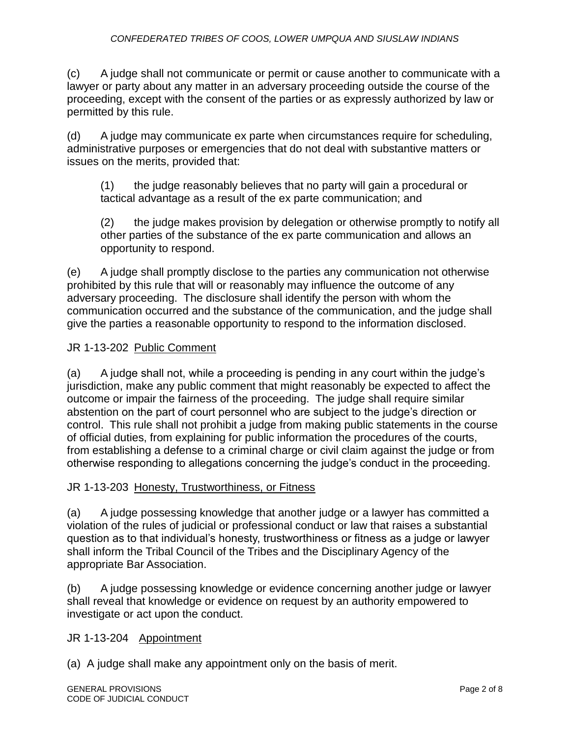(c) A judge shall not communicate or permit or cause another to communicate with a lawyer or party about any matter in an adversary proceeding outside the course of the proceeding, except with the consent of the parties or as expressly authorized by law or permitted by this rule.

(d) A judge may communicate ex parte when circumstances require for scheduling, administrative purposes or emergencies that do not deal with substantive matters or issues on the merits, provided that:

(1) the judge reasonably believes that no party will gain a procedural or tactical advantage as a result of the ex parte communication; and

(2) the judge makes provision by delegation or otherwise promptly to notify all other parties of the substance of the ex parte communication and allows an opportunity to respond.

(e) A judge shall promptly disclose to the parties any communication not otherwise prohibited by this rule that will or reasonably may influence the outcome of any adversary proceeding. The disclosure shall identify the person with whom the communication occurred and the substance of the communication, and the judge shall give the parties a reasonable opportunity to respond to the information disclosed.

## JR 1-13-202 Public Comment

(a) A judge shall not, while a proceeding is pending in any court within the judge's jurisdiction, make any public comment that might reasonably be expected to affect the outcome or impair the fairness of the proceeding. The judge shall require similar abstention on the part of court personnel who are subject to the judge's direction or control. This rule shall not prohibit a judge from making public statements in the course of official duties, from explaining for public information the procedures of the courts, from establishing a defense to a criminal charge or civil claim against the judge or from otherwise responding to allegations concerning the judge's conduct in the proceeding.

## JR 1-13-203 Honesty, Trustworthiness, or Fitness

(a) A judge possessing knowledge that another judge or a lawyer has committed a violation of the rules of judicial or professional conduct or law that raises a substantial question as to that individual's honesty, trustworthiness or fitness as a judge or lawyer shall inform the Tribal Council of the Tribes and the Disciplinary Agency of the appropriate Bar Association.

(b) A judge possessing knowledge or evidence concerning another judge or lawyer shall reveal that knowledge or evidence on request by an authority empowered to investigate or act upon the conduct.

## JR 1-13-204 Appointment

(a) A judge shall make any appointment only on the basis of merit.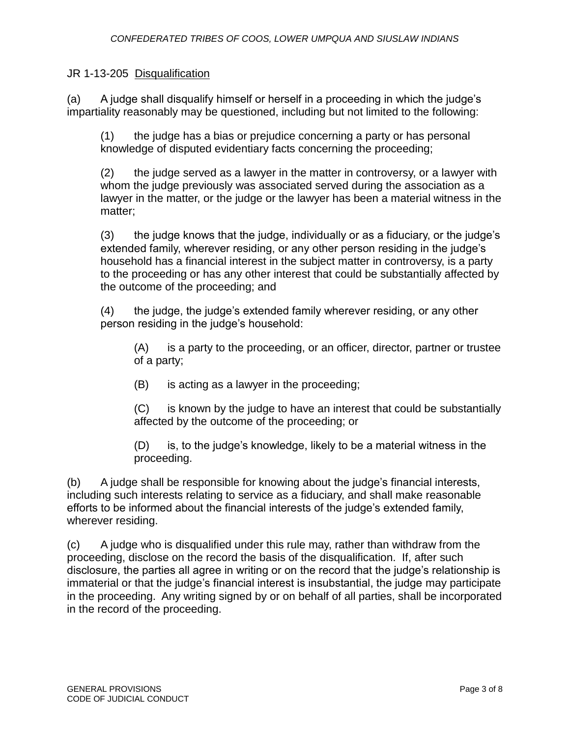## JR 1-13-205 Disqualification

(a) A judge shall disqualify himself or herself in a proceeding in which the judge's impartiality reasonably may be questioned, including but not limited to the following:

(1) the judge has a bias or prejudice concerning a party or has personal knowledge of disputed evidentiary facts concerning the proceeding;

(2) the judge served as a lawyer in the matter in controversy, or a lawyer with whom the judge previously was associated served during the association as a lawyer in the matter, or the judge or the lawyer has been a material witness in the matter;

(3) the judge knows that the judge, individually or as a fiduciary, or the judge's extended family, wherever residing, or any other person residing in the judge's household has a financial interest in the subject matter in controversy, is a party to the proceeding or has any other interest that could be substantially affected by the outcome of the proceeding; and

(4) the judge, the judge's extended family wherever residing, or any other person residing in the judge's household:

(A) is a party to the proceeding, or an officer, director, partner or trustee of a party;

(B) is acting as a lawyer in the proceeding;

(C) is known by the judge to have an interest that could be substantially affected by the outcome of the proceeding; or

(D) is, to the judge's knowledge, likely to be a material witness in the proceeding.

(b) A judge shall be responsible for knowing about the judge's financial interests, including such interests relating to service as a fiduciary, and shall make reasonable efforts to be informed about the financial interests of the judge's extended family, wherever residing.

(c) A judge who is disqualified under this rule may, rather than withdraw from the proceeding, disclose on the record the basis of the disqualification. If, after such disclosure, the parties all agree in writing or on the record that the judge's relationship is immaterial or that the judge's financial interest is insubstantial, the judge may participate in the proceeding. Any writing signed by or on behalf of all parties, shall be incorporated in the record of the proceeding.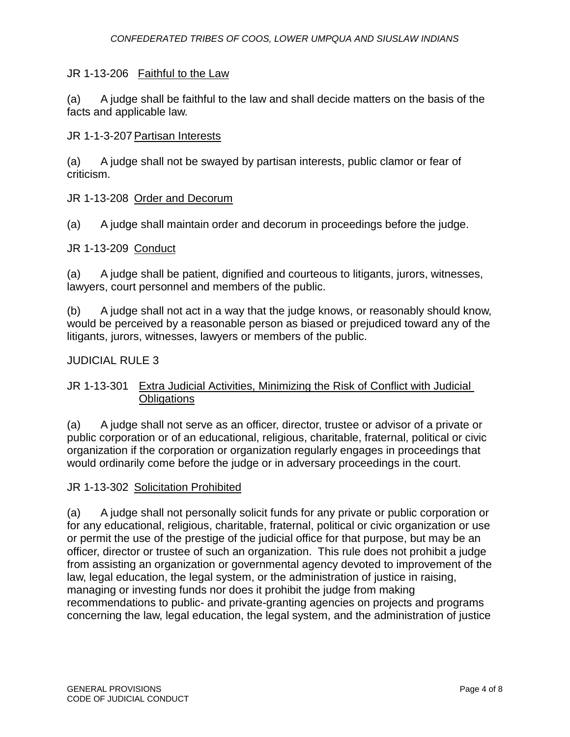### JR 1-13-206 Faithful to the Law

(a) A judge shall be faithful to the law and shall decide matters on the basis of the facts and applicable law.

#### JR 1-1-3-207 Partisan Interests

(a) A judge shall not be swayed by partisan interests, public clamor or fear of criticism.

#### JR 1-13-208 Order and Decorum

(a) A judge shall maintain order and decorum in proceedings before the judge.

#### JR 1-13-209 Conduct

(a) A judge shall be patient, dignified and courteous to litigants, jurors, witnesses, lawyers, court personnel and members of the public.

(b) A judge shall not act in a way that the judge knows, or reasonably should know, would be perceived by a reasonable person as biased or prejudiced toward any of the litigants, jurors, witnesses, lawyers or members of the public.

#### JUDICIAL RULE 3

## JR 1-13-301 Extra Judicial Activities, Minimizing the Risk of Conflict with Judicial **Obligations**

(a) A judge shall not serve as an officer, director, trustee or advisor of a private or public corporation or of an educational, religious, charitable, fraternal, political or civic organization if the corporation or organization regularly engages in proceedings that would ordinarily come before the judge or in adversary proceedings in the court.

#### JR 1-13-302 Solicitation Prohibited

(a) A judge shall not personally solicit funds for any private or public corporation or for any educational, religious, charitable, fraternal, political or civic organization or use or permit the use of the prestige of the judicial office for that purpose, but may be an officer, director or trustee of such an organization. This rule does not prohibit a judge from assisting an organization or governmental agency devoted to improvement of the law, legal education, the legal system, or the administration of justice in raising, managing or investing funds nor does it prohibit the judge from making recommendations to public- and private-granting agencies on projects and programs concerning the law, legal education, the legal system, and the administration of justice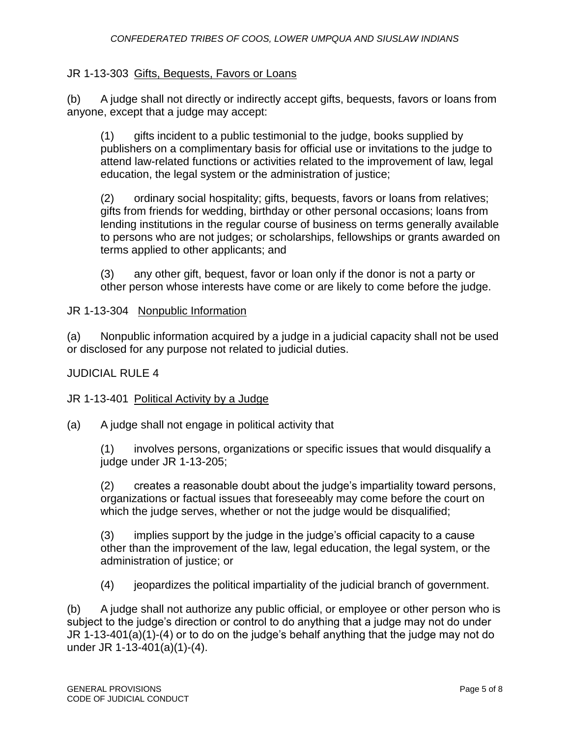## JR 1-13-303 Gifts, Bequests, Favors or Loans

(b) A judge shall not directly or indirectly accept gifts, bequests, favors or loans from anyone, except that a judge may accept:

(1) gifts incident to a public testimonial to the judge, books supplied by publishers on a complimentary basis for official use or invitations to the judge to attend law-related functions or activities related to the improvement of law, legal education, the legal system or the administration of justice;

(2) ordinary social hospitality; gifts, bequests, favors or loans from relatives; gifts from friends for wedding, birthday or other personal occasions; loans from lending institutions in the regular course of business on terms generally available to persons who are not judges; or scholarships, fellowships or grants awarded on terms applied to other applicants; and

(3) any other gift, bequest, favor or loan only if the donor is not a party or other person whose interests have come or are likely to come before the judge.

## JR 1-13-304 Nonpublic Information

(a) Nonpublic information acquired by a judge in a judicial capacity shall not be used or disclosed for any purpose not related to judicial duties.

## JUDICIAL RULE 4

## JR 1-13-401 Political Activity by a Judge

(a) A judge shall not engage in political activity that

(1) involves persons, organizations or specific issues that would disqualify a judge under JR 1-13-205;

(2) creates a reasonable doubt about the judge's impartiality toward persons, organizations or factual issues that foreseeably may come before the court on which the judge serves, whether or not the judge would be disqualified;

(3) implies support by the judge in the judge's official capacity to a cause other than the improvement of the law, legal education, the legal system, or the administration of justice; or

(4) jeopardizes the political impartiality of the judicial branch of government.

(b) A judge shall not authorize any public official, or employee or other person who is subject to the judge's direction or control to do anything that a judge may not do under JR 1-13-401(a)(1)-(4) or to do on the judge's behalf anything that the judge may not do under JR 1-13-401(a)(1)-(4).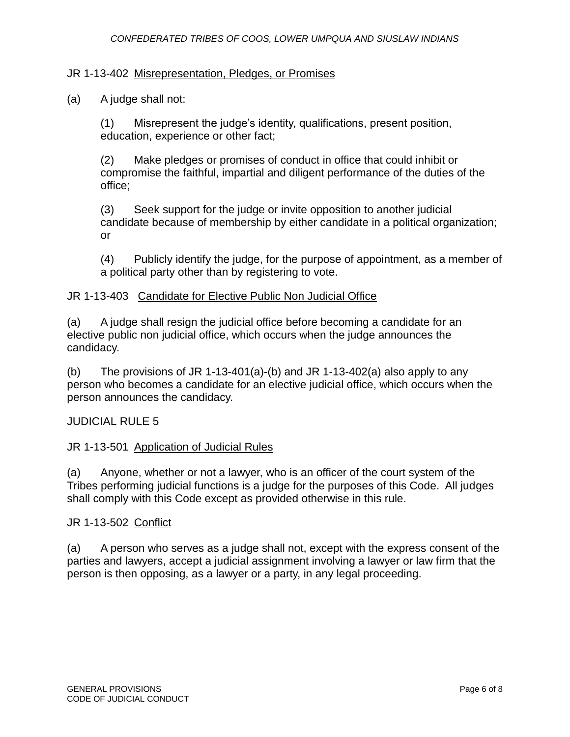#### JR 1-13-402 Misrepresentation, Pledges, or Promises

#### (a) A judge shall not:

(1) Misrepresent the judge's identity, qualifications, present position, education, experience or other fact;

(2) Make pledges or promises of conduct in office that could inhibit or compromise the faithful, impartial and diligent performance of the duties of the office;

(3) Seek support for the judge or invite opposition to another judicial candidate because of membership by either candidate in a political organization; or

(4) Publicly identify the judge, for the purpose of appointment, as a member of a political party other than by registering to vote.

#### JR 1-13-403 Candidate for Elective Public Non Judicial Office

(a) A judge shall resign the judicial office before becoming a candidate for an elective public non judicial office, which occurs when the judge announces the candidacy.

(b) The provisions of JR 1-13-401(a)-(b) and JR 1-13-402(a) also apply to any person who becomes a candidate for an elective judicial office, which occurs when the person announces the candidacy.

## JUDICIAL RULE 5

#### JR 1-13-501 Application of Judicial Rules

(a) Anyone, whether or not a lawyer, who is an officer of the court system of the Tribes performing judicial functions is a judge for the purposes of this Code. All judges shall comply with this Code except as provided otherwise in this rule.

#### JR 1-13-502 Conflict

(a) A person who serves as a judge shall not, except with the express consent of the parties and lawyers, accept a judicial assignment involving a lawyer or law firm that the person is then opposing, as a lawyer or a party, in any legal proceeding.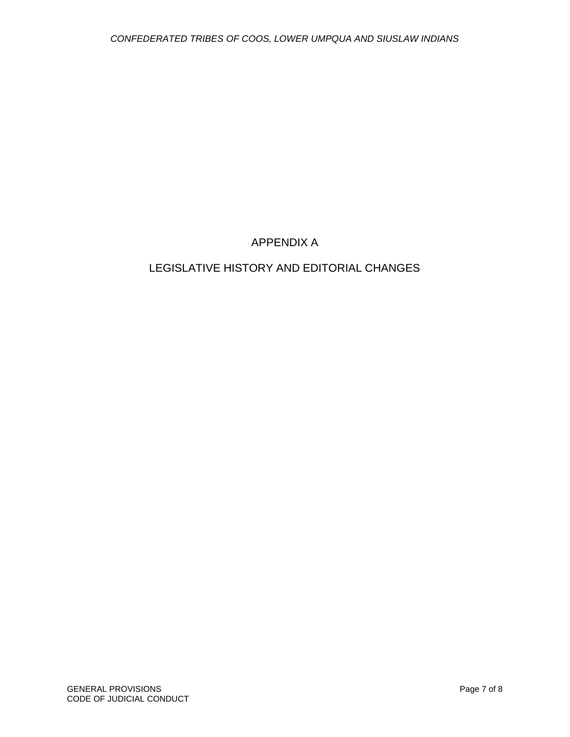## APPENDIX A

# LEGISLATIVE HISTORY AND EDITORIAL CHANGES